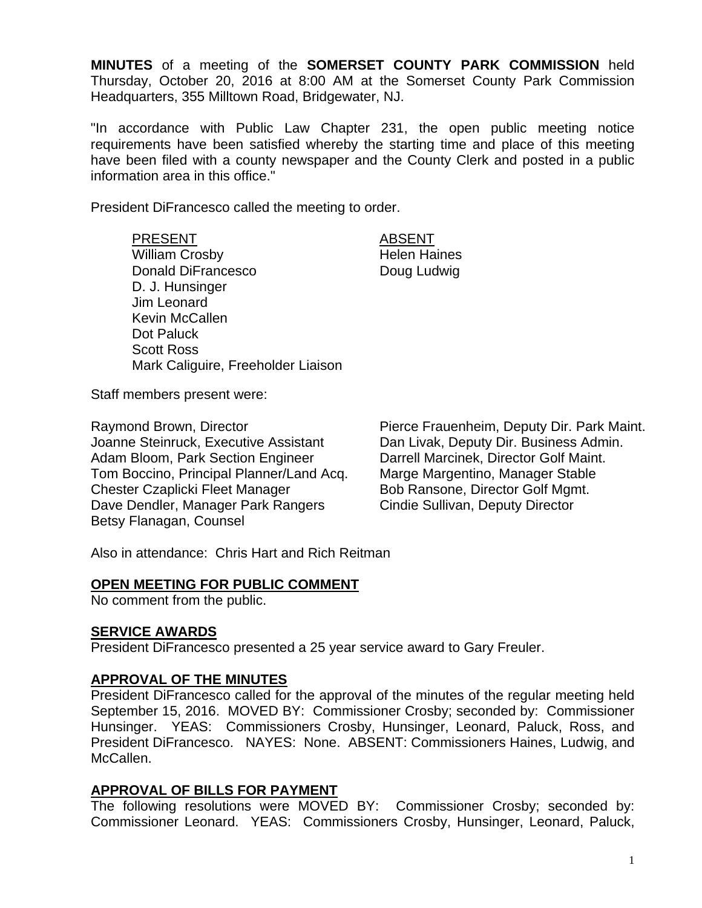**MINUTES** of a meeting of the **SOMERSET COUNTY PARK COMMISSION** held Thursday, October 20, 2016 at 8:00 AM at the Somerset County Park Commission Headquarters, 355 Milltown Road, Bridgewater, NJ.

"In accordance with Public Law Chapter 231, the open public meeting notice requirements have been satisfied whereby the starting time and place of this meeting have been filed with a county newspaper and the County Clerk and posted in a public information area in this office."

President DiFrancesco called the meeting to order.

PRESENT ABSENT William Crosby **Helen Haines** Donald DiFrancesco Doug Ludwig D. J. Hunsinger Jim Leonard Kevin McCallen Dot Paluck Scott Ross Mark Caliguire, Freeholder Liaison

Staff members present were:

Joanne Steinruck, Executive Assistant Dan Livak, Deputy Dir. Business Admin. Adam Bloom, Park Section Engineer Darrell Marcinek, Director Golf Maint. Tom Boccino, Principal Planner/Land Acq. Marge Margentino, Manager Stable Chester Czaplicki Fleet Manager Bob Ransone, Director Golf Mgmt. Dave Dendler, Manager Park Rangers Cindie Sullivan, Deputy Director Betsy Flanagan, Counsel

Raymond Brown, Director Pierce Frauenheim, Deputy Dir. Park Maint.

Also in attendance: Chris Hart and Rich Reitman

#### **OPEN MEETING FOR PUBLIC COMMENT**

No comment from the public.

# **SERVICE AWARDS**

President DiFrancesco presented a 25 year service award to Gary Freuler.

# **APPROVAL OF THE MINUTES**

President DiFrancesco called for the approval of the minutes of the regular meeting held September 15, 2016. MOVED BY: Commissioner Crosby; seconded by: Commissioner Hunsinger. YEAS: Commissioners Crosby, Hunsinger, Leonard, Paluck, Ross, and President DiFrancesco. NAYES: None. ABSENT: Commissioners Haines, Ludwig, and McCallen.

# **APPROVAL OF BILLS FOR PAYMENT**

The following resolutions were MOVED BY: Commissioner Crosby; seconded by: Commissioner Leonard. YEAS: Commissioners Crosby, Hunsinger, Leonard, Paluck,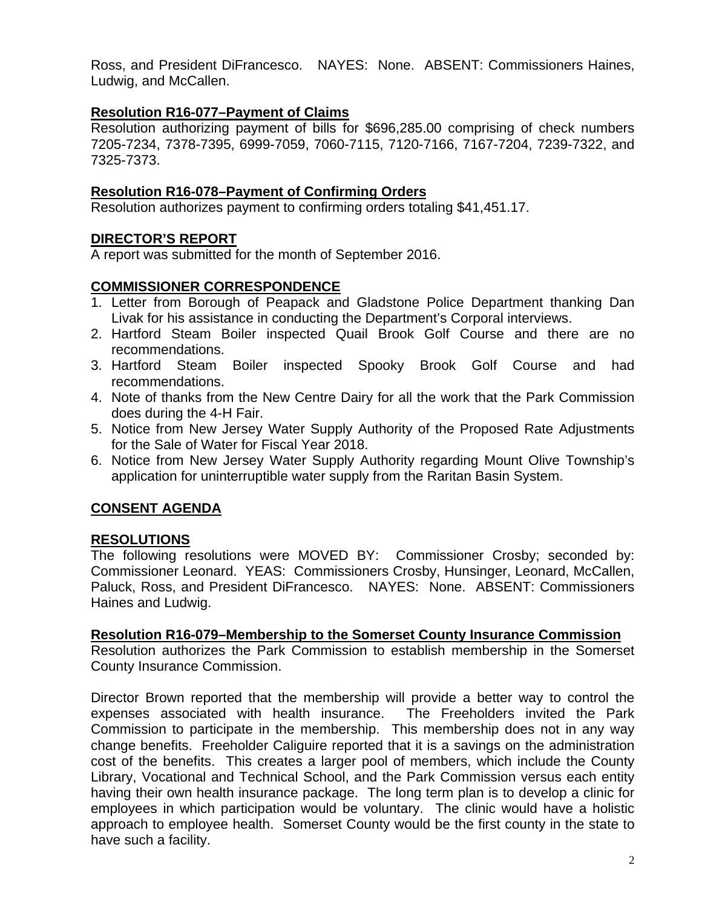Ross, and President DiFrancesco. NAYES: None. ABSENT: Commissioners Haines, Ludwig, and McCallen.

# **Resolution R16-077–Payment of Claims**

Resolution authorizing payment of bills for \$696,285.00 comprising of check numbers 7205-7234, 7378-7395, 6999-7059, 7060-7115, 7120-7166, 7167-7204, 7239-7322, and 7325-7373.

# **Resolution R16-078–Payment of Confirming Orders**

Resolution authorizes payment to confirming orders totaling \$41,451.17.

# **DIRECTOR'S REPORT**

A report was submitted for the month of September 2016.

# **COMMISSIONER CORRESPONDENCE**

- 1. Letter from Borough of Peapack and Gladstone Police Department thanking Dan Livak for his assistance in conducting the Department's Corporal interviews.
- 2. Hartford Steam Boiler inspected Quail Brook Golf Course and there are no recommendations.
- 3. Hartford Steam Boiler inspected Spooky Brook Golf Course and had recommendations.
- 4. Note of thanks from the New Centre Dairy for all the work that the Park Commission does during the 4-H Fair.
- 5. Notice from New Jersey Water Supply Authority of the Proposed Rate Adjustments for the Sale of Water for Fiscal Year 2018.
- 6. Notice from New Jersey Water Supply Authority regarding Mount Olive Township's application for uninterruptible water supply from the Raritan Basin System.

# **CONSENT AGENDA**

# **RESOLUTIONS**

The following resolutions were MOVED BY: Commissioner Crosby; seconded by: Commissioner Leonard. YEAS: Commissioners Crosby, Hunsinger, Leonard, McCallen, Paluck, Ross, and President DiFrancesco. NAYES: None. ABSENT: Commissioners Haines and Ludwig.

# **Resolution R16-079–Membership to the Somerset County Insurance Commission**

Resolution authorizes the Park Commission to establish membership in the Somerset County Insurance Commission.

Director Brown reported that the membership will provide a better way to control the expenses associated with health insurance. The Freeholders invited the Park Commission to participate in the membership. This membership does not in any way change benefits. Freeholder Caliguire reported that it is a savings on the administration cost of the benefits. This creates a larger pool of members, which include the County Library, Vocational and Technical School, and the Park Commission versus each entity having their own health insurance package. The long term plan is to develop a clinic for employees in which participation would be voluntary. The clinic would have a holistic approach to employee health. Somerset County would be the first county in the state to have such a facility.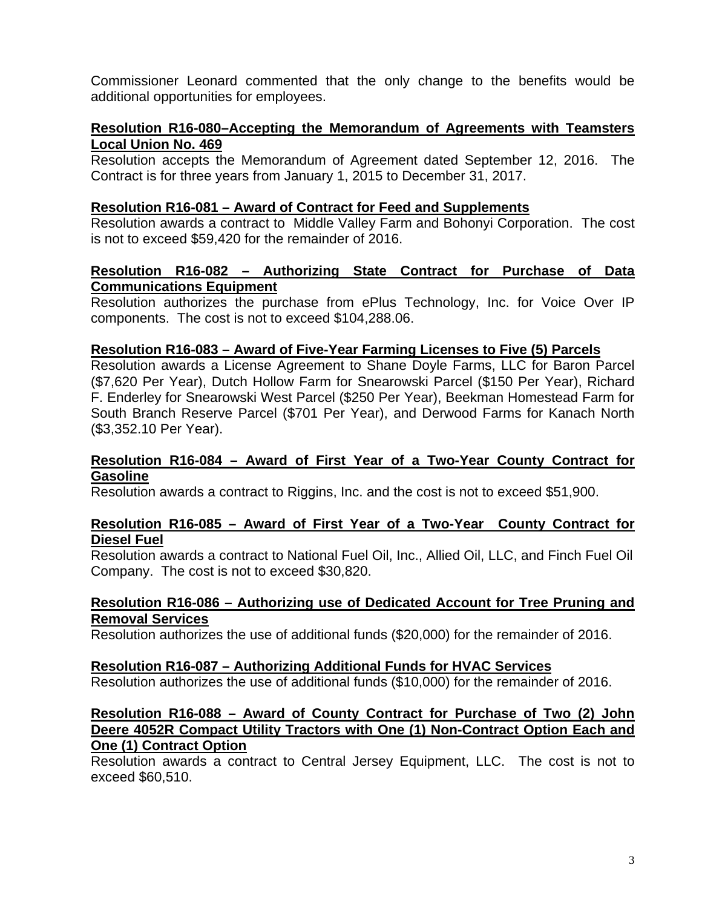Commissioner Leonard commented that the only change to the benefits would be additional opportunities for employees.

# **Resolution R16-080–Accepting the Memorandum of Agreements with Teamsters Local Union No. 469**

Resolution accepts the Memorandum of Agreement dated September 12, 2016. The Contract is for three years from January 1, 2015 to December 31, 2017.

# **Resolution R16-081 – Award of Contract for Feed and Supplements**

Resolution awards a contract to Middle Valley Farm and Bohonyi Corporation. The cost is not to exceed \$59,420 for the remainder of 2016.

# **Resolution R16-082 – Authorizing State Contract for Purchase of Data Communications Equipment**

Resolution authorizes the purchase from ePlus Technology, Inc. for Voice Over IP components. The cost is not to exceed \$104,288.06.

# **Resolution R16-083 – Award of Five-Year Farming Licenses to Five (5) Parcels**

Resolution awards a License Agreement to Shane Doyle Farms, LLC for Baron Parcel (\$7,620 Per Year), Dutch Hollow Farm for Snearowski Parcel (\$150 Per Year), Richard F. Enderley for Snearowski West Parcel (\$250 Per Year), Beekman Homestead Farm for South Branch Reserve Parcel (\$701 Per Year), and Derwood Farms for Kanach North (\$3,352.10 Per Year).

### **Resolution R16-084 – Award of First Year of a Two-Year County Contract for Gasoline**

Resolution awards a contract to Riggins, Inc. and the cost is not to exceed \$51,900.

### **Resolution R16-085 – Award of First Year of a Two-Year County Contract for Diesel Fuel**

Resolution awards a contract to National Fuel Oil, Inc., Allied Oil, LLC, and Finch Fuel Oil Company. The cost is not to exceed \$30,820.

### **Resolution R16-086 – Authorizing use of Dedicated Account for Tree Pruning and Removal Services**

Resolution authorizes the use of additional funds (\$20,000) for the remainder of 2016.

# **Resolution R16-087 – Authorizing Additional Funds for HVAC Services**

Resolution authorizes the use of additional funds (\$10,000) for the remainder of 2016.

### **Resolution R16-088 – Award of County Contract for Purchase of Two (2) John Deere 4052R Compact Utility Tractors with One (1) Non-Contract Option Each and One (1) Contract Option**

Resolution awards a contract to Central Jersey Equipment, LLC. The cost is not to exceed \$60,510.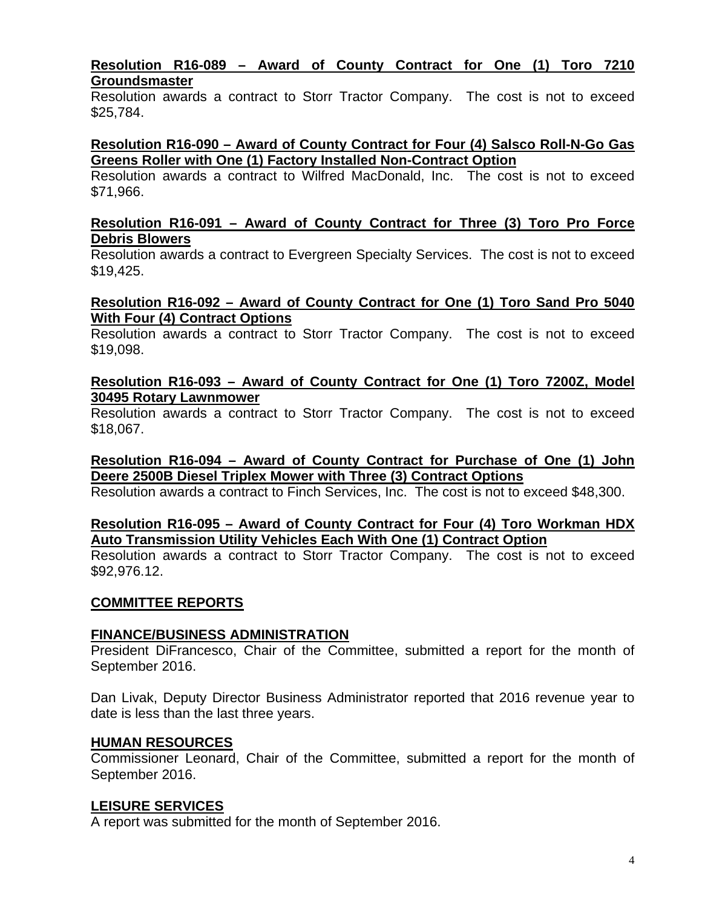### **Resolution R16-089 – Award of County Contract for One (1) Toro 7210 Groundsmaster**

Resolution awards a contract to Storr Tractor Company. The cost is not to exceed \$25,784.

### **Resolution R16-090 – Award of County Contract for Four (4) Salsco Roll-N-Go Gas Greens Roller with One (1) Factory Installed Non-Contract Option**

Resolution awards a contract to Wilfred MacDonald, Inc. The cost is not to exceed \$71,966.

### **Resolution R16-091 – Award of County Contract for Three (3) Toro Pro Force Debris Blowers**

Resolution awards a contract to Evergreen Specialty Services. The cost is not to exceed \$19,425.

### **Resolution R16-092 – Award of County Contract for One (1) Toro Sand Pro 5040 With Four (4) Contract Options**

Resolution awards a contract to Storr Tractor Company. The cost is not to exceed \$19,098.

# **Resolution R16-093 – Award of County Contract for One (1) Toro 7200Z, Model 30495 Rotary Lawnmower**

Resolution awards a contract to Storr Tractor Company. The cost is not to exceed \$18,067.

# **Resolution R16-094 – Award of County Contract for Purchase of One (1) John Deere 2500B Diesel Triplex Mower with Three (3) Contract Options**

Resolution awards a contract to Finch Services, Inc. The cost is not to exceed \$48,300.

# **Resolution R16-095 – Award of County Contract for Four (4) Toro Workman HDX Auto Transmission Utility Vehicles Each With One (1) Contract Option**

Resolution awards a contract to Storr Tractor Company. The cost is not to exceed \$92,976.12.

# **COMMITTEE REPORTS**

# **FINANCE/BUSINESS ADMINISTRATION**

President DiFrancesco, Chair of the Committee, submitted a report for the month of September 2016.

Dan Livak, Deputy Director Business Administrator reported that 2016 revenue year to date is less than the last three years.

# **HUMAN RESOURCES**

Commissioner Leonard, Chair of the Committee, submitted a report for the month of September 2016.

# **LEISURE SERVICES**

A report was submitted for the month of September 2016.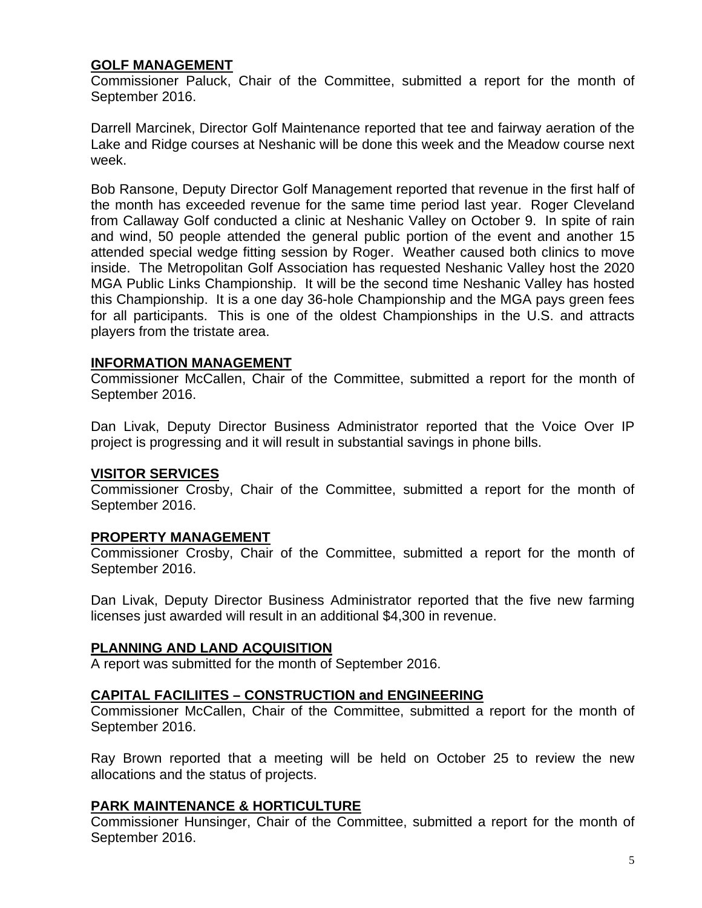# **GOLF MANAGEMENT**

Commissioner Paluck, Chair of the Committee, submitted a report for the month of September 2016.

Darrell Marcinek, Director Golf Maintenance reported that tee and fairway aeration of the Lake and Ridge courses at Neshanic will be done this week and the Meadow course next week.

Bob Ransone, Deputy Director Golf Management reported that revenue in the first half of the month has exceeded revenue for the same time period last year. Roger Cleveland from Callaway Golf conducted a clinic at Neshanic Valley on October 9. In spite of rain and wind, 50 people attended the general public portion of the event and another 15 attended special wedge fitting session by Roger. Weather caused both clinics to move inside. The Metropolitan Golf Association has requested Neshanic Valley host the 2020 MGA Public Links Championship. It will be the second time Neshanic Valley has hosted this Championship. It is a one day 36-hole Championship and the MGA pays green fees for all participants. This is one of the oldest Championships in the U.S. and attracts players from the tristate area.

### **INFORMATION MANAGEMENT**

Commissioner McCallen, Chair of the Committee, submitted a report for the month of September 2016.

Dan Livak, Deputy Director Business Administrator reported that the Voice Over IP project is progressing and it will result in substantial savings in phone bills.

#### **VISITOR SERVICES**

Commissioner Crosby, Chair of the Committee, submitted a report for the month of September 2016.

#### **PROPERTY MANAGEMENT**

Commissioner Crosby, Chair of the Committee, submitted a report for the month of September 2016.

Dan Livak, Deputy Director Business Administrator reported that the five new farming licenses just awarded will result in an additional \$4,300 in revenue.

# **PLANNING AND LAND ACQUISITION**

A report was submitted for the month of September 2016.

# **CAPITAL FACILIITES – CONSTRUCTION and ENGINEERING**

Commissioner McCallen, Chair of the Committee, submitted a report for the month of September 2016.

Ray Brown reported that a meeting will be held on October 25 to review the new allocations and the status of projects.

# **PARK MAINTENANCE & HORTICULTURE**

Commissioner Hunsinger, Chair of the Committee, submitted a report for the month of September 2016.